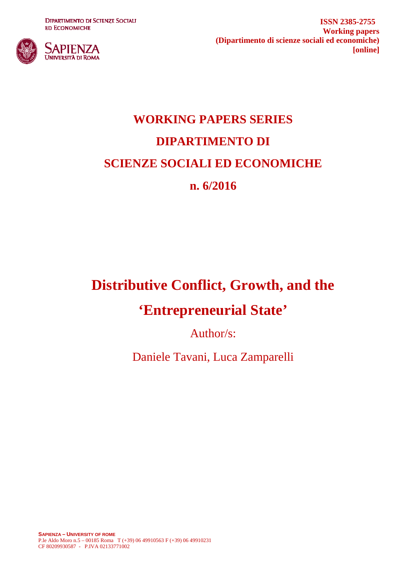**DIPARTIMENTO DI SCIENZE SOCIALI ED ECONOMICHE** 



**ISSN 2385-2755 Working papers (Dipartimento di scienze sociali ed economiche) [online]**

# **WORKING PAPERS SERIES DIPARTIMENTO DI SCIENZE SOCIALI ED ECONOMICHE n. 6/2016**

## **Distributive Conflict, Growth, and the**

## **'Entrepreneurial State'**

Author/s:

Daniele Tavani, Luca Zamparelli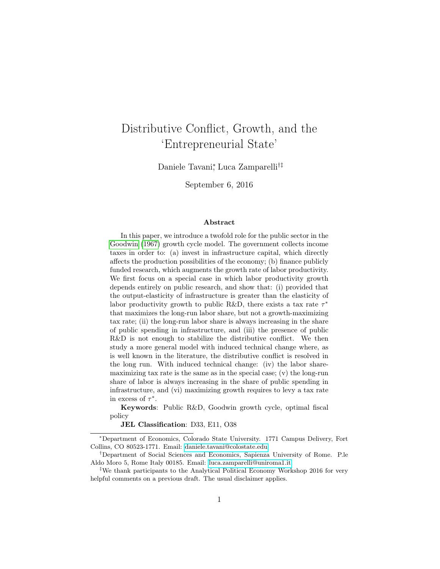## <span id="page-1-0"></span>Distributive Conflict, Growth, and the 'Entrepreneurial State'

Daniele Tavani<sup>∗</sup> , Luca Zamparelli†‡

September 6, 2016

#### Abstract

In this paper, we introduce a twofold role for the public sector in the [Goodwin](#page-18-0) [\(1967\)](#page-18-0) growth cycle model. The government collects income taxes in order to: (a) invest in infrastructure capital, which directly affects the production possibilities of the economy; (b) finance publicly funded research, which augments the growth rate of labor productivity. We first focus on a special case in which labor productivity growth depends entirely on public research, and show that: (i) provided that the output-elasticity of infrastructure is greater than the elasticity of labor productivity growth to public R&D, there exists a tax rate  $\tau^*$ that maximizes the long-run labor share, but not a growth-maximizing tax rate; (ii) the long-run labor share is always increasing in the share of public spending in infrastructure, and (iii) the presence of public R&D is not enough to stabilize the distributive conflict. We then study a more general model with induced technical change where, as is well known in the literature, the distributive conflict is resolved in the long run. With induced technical change: (iv) the labor sharemaximizing tax rate is the same as in the special case; (v) the long-run share of labor is always increasing in the share of public spending in infrastructure, and (vi) maximizing growth requires to levy a tax rate in excess of  $\tau^*$ .

Keywords: Public R&D, Goodwin growth cycle, optimal fiscal policy

JEL Classification: D33, E11, O38

<sup>∗</sup>Department of Economics, Colorado State University. 1771 Campus Delivery, Fort Collins, CO 80523-1771. Email: [daniele.tavani@colostate.edu.](mailto:daniele.tavani@colostate.edu)

<sup>†</sup>Department of Social Sciences and Economics, Sapienza University of Rome. P.le Aldo Moro 5, Rome Italy 00185. Email: [luca.zamparelli@uniroma1.it.](mailto:luca.zamparelli@uniroma1.it)

<sup>‡</sup>We thank participants to the Analytical Political Economy Workshop 2016 for very helpful comments on a previous draft. The usual disclaimer applies.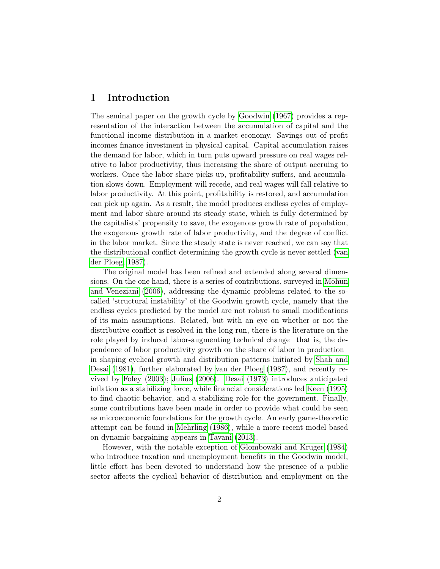## <span id="page-2-0"></span>1 Introduction

The seminal paper on the growth cycle by [Goodwin](#page-18-0) [\(1967\)](#page-18-0) provides a representation of the interaction between the accumulation of capital and the functional income distribution in a market economy. Savings out of profit incomes finance investment in physical capital. Capital accumulation raises the demand for labor, which in turn puts upward pressure on real wages relative to labor productivity, thus increasing the share of output accruing to workers. Once the labor share picks up, profitability suffers, and accumulation slows down. Employment will recede, and real wages will fall relative to labor productivity. At this point, profitability is restored, and accumulation can pick up again. As a result, the model produces endless cycles of employment and labor share around its steady state, which is fully determined by the capitalists' propensity to save, the exogenous growth rate of population, the exogenous growth rate of labor productivity, and the degree of conflict in the labor market. Since the steady state is never reached, we can say that the distributional conflict determining the growth cycle is never settled [\(van](#page-20-0) [der Ploeg, 1987\)](#page-20-0).

The original model has been refined and extended along several dimensions. On the one hand, there is a series of contributions, surveyed in [Mohun](#page-19-0) [and Veneziani](#page-19-0) [\(2006\)](#page-19-0), addressing the dynamic problems related to the socalled 'structural instability' of the Goodwin growth cycle, namely that the endless cycles predicted by the model are not robust to small modifications of its main assumptions. Related, but with an eye on whether or not the distributive conflict is resolved in the long run, there is the literature on the role played by induced labor-augmenting technical change –that is, the dependence of labor productivity growth on the share of labor in production– in shaping cyclical growth and distribution patterns initiated by [Shah and](#page-19-1) [Desai](#page-19-1) [\(1981\)](#page-19-1), further elaborated by [van der Ploeg](#page-20-0) [\(1987\)](#page-20-0), and recently revived by [Foley](#page-18-1) [\(2003\)](#page-18-1); [Julius](#page-19-2) [\(2006\)](#page-19-2). [Desai](#page-18-2) [\(1973\)](#page-18-2) introduces anticipated inflation as a stabilizing force, while financial considerations led [Keen](#page-19-3) [\(1995\)](#page-19-3) to find chaotic behavior, and a stabilizing role for the government. Finally, some contributions have been made in order to provide what could be seen as microeconomic foundations for the growth cycle. An early game-theoretic attempt can be found in [Mehrling](#page-19-4) [\(1986\)](#page-19-4), while a more recent model based on dynamic bargaining appears in [Tavani](#page-20-1) [\(2013\)](#page-20-1).

However, with the notable exception of [Glombowski and Kruger](#page-18-3) [\(1984\)](#page-18-3) who introduce taxation and unemployment benefits in the Goodwin model, little effort has been devoted to understand how the presence of a public sector affects the cyclical behavior of distribution and employment on the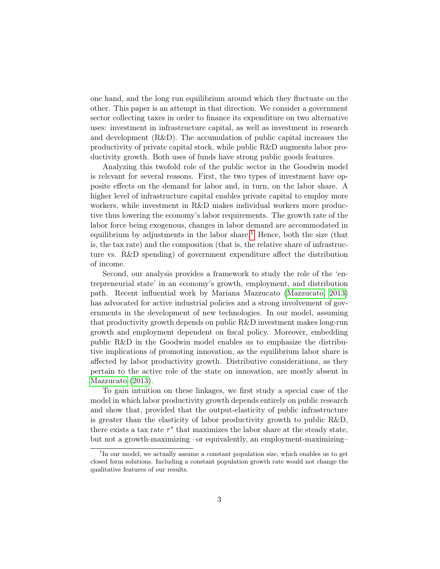one hand, and the long run equilibrium around which they fluctuate on the other. This paper is an attempt in that direction. We consider a government sector collecting taxes in order to finance its expenditure on two alternative uses: investment in infrastructure capital, as well as investment in research and development (R&D). The accumulation of public capital increases the productivity of private capital stock, while public R&D augments labor productivity growth. Both uses of funds have strong public goods features.

Analyzing this twofold role of the public sector in the Goodwin model is relevant for several reasons. First, the two types of investment have opposite effects on the demand for labor and, in turn, on the labor share. A higher level of infrastructure capital enables private capital to employ more workers, while investment in R&D makes individual workers more productive thus lowering the economy's labor requirements. The growth rate of the labor force being exogenous, changes in labor demand are accommodated in equilibrium by adjustments in the labor share.<sup>[1](#page-3-0)</sup> Hence, both the size (that is, the tax rate) and the composition (that is, the relative share of infrastructure vs. R&D spending) of government expenditure affect the distribution of income.

Second, our analysis provides a framework to study the role of the 'entrepreneurial state' in an economy's growth, employment, and distribution path. Recent influential work by Mariana Mazzucato [\(Mazzucato, 2013\)](#page-19-5) has advocated for active industrial policies and a strong involvement of governments in the development of new technologies. In our model, assuming that productivity growth depends on public R&D investment makes long-run growth and employment dependent on fiscal policy. Moreover, embedding public R&D in the Goodwin model enables us to emphasize the distributive implications of promoting innovation, as the equilibrium labor share is affected by labor productivity growth. Distributive considerations, as they pertain to the active role of the state on innovation, are mostly absent in [Mazzucato](#page-19-5) [\(2013\)](#page-19-5).

To gain intuition on these linkages, we first study a special case of the model in which labor productivity growth depends entirely on public research and show that, provided that the output-elasticity of public infrastructure is greater than the elasticity of labor productivity growth to public R&D, there exists a tax rate  $\tau^*$  that maximizes the labor share at the steady state, but not a growth-maximizing –or equivalently, an employment-maximizing–

<span id="page-3-0"></span><sup>&</sup>lt;sup>1</sup>In our model, we actually assume a constant population size, which enables us to get closed form solutions. Including a constant population growth rate would not change the qualitative features of our results.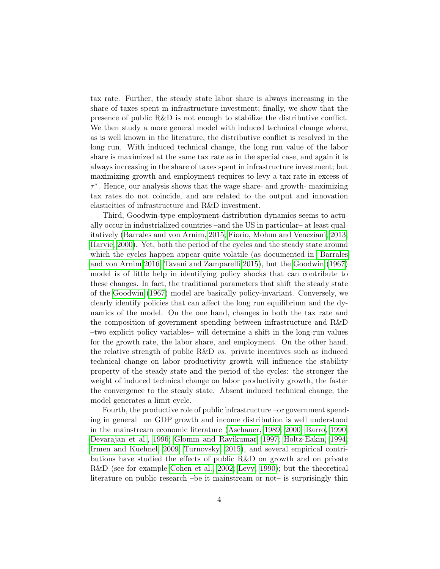tax rate. Further, the steady state labor share is always increasing in the share of taxes spent in infrastructure investment; finally, we show that the presence of public R&D is not enough to stabilize the distributive conflict. We then study a more general model with induced technical change where, as is well known in the literature, the distributive conflict is resolved in the long run. With induced technical change, the long run value of the labor share is maximized at the same tax rate as in the special case, and again it is always increasing in the share of taxes spent in infrastructure investment; but maximizing growth and employment requires to levy a tax rate in excess of τ ∗ . Hence, our analysis shows that the wage share- and growth- maximizing tax rates do not coincide, and are related to the output and innovation elasticities of infrastructure and R&D investment.

Third, Goodwin-type employment-distribution dynamics seems to actually occur in industrialized countries –and the US in particular– at least qualitatively [\(Barrales and von Arnim, 2015;](#page-17-0) [Fiorio, Mohun and Veneziani, 2013;](#page-18-4) [Harvie, 2000\)](#page-19-6). Yet, both the period of the cycles and the steady state around which the cycles happen appear quite volatile (as documented in [Barrales](#page-18-5) [and von Arnim 2016;](#page-18-5) [Tavani and Zamparelli 2015\)](#page-20-2), but the [Goodwin](#page-18-0) [\(1967\)](#page-18-0) model is of little help in identifying policy shocks that can contribute to these changes. In fact, the traditional parameters that shift the steady state of the [Goodwin](#page-18-0) [\(1967\)](#page-18-0) model are basically policy-invariant. Conversely, we clearly identify policies that can affect the long run equilibrium and the dynamics of the model. On the one hand, changes in both the tax rate and the composition of government spending between infrastructure and R&D –two explicit policy variables– will determine a shift in the long-run values for the growth rate, the labor share, and employment. On the other hand, the relative strength of public R&D  $vs.$  private incentives such as induced technical change on labor productivity growth will influence the stability property of the steady state and the period of the cycles: the stronger the weight of induced technical change on labor productivity growth, the faster the convergence to the steady state. Absent induced technical change, the model generates a limit cycle.

Fourth, the productive role of public infrastructure –or government spending in general– on GDP growth and income distribution is well understood in the mainstream economic literature [\(Aschauer, 1989,](#page-17-1) [2000;](#page-17-2) [Barro, 1990;](#page-18-6) [Devarajan et al., 1996;](#page-18-7) [Glomm and Ravikumar, 1997;](#page-18-8) [Holtz-Eakin, 1994;](#page-19-7) [Irmen and Kuehnel, 2009;](#page-19-8) [Turnovsky, 2015\)](#page-20-3), and several empirical contributions have studied the effects of public R&D on growth and on private R&D (see for example [Cohen et al., 2002;](#page-18-9) [Levy, 1990\)](#page-19-9); but the theoretical literature on public research –be it mainstream or not– is surprisingly thin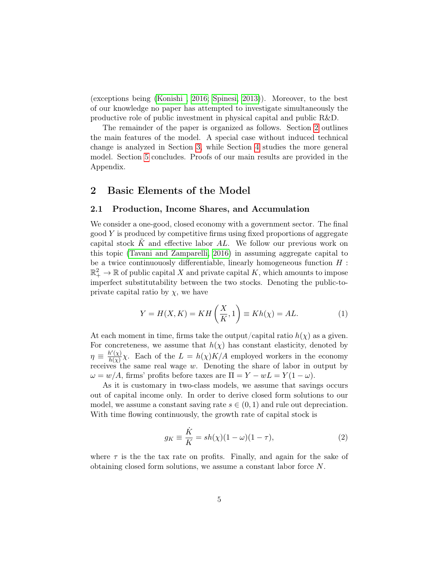(exceptions being [\(Konishi , 2016;](#page-19-10) [Spinesi, 2013\)](#page-19-11)). Moreover, to the best of our knowledge no paper has attempted to investigate simultaneously the productive role of public investment in physical capital and public R&D.

The remainder of the paper is organized as follows. Section [2](#page-5-0) outlines the main features of the model. A special case without induced technical change is analyzed in Section [3,](#page-8-0) while Section [4](#page-11-0) studies the more general model. Section [5](#page-13-0) concludes. Proofs of our main results are provided in the Appendix.

### <span id="page-5-0"></span>2 Basic Elements of the Model

#### <span id="page-5-2"></span>2.1 Production, Income Shares, and Accumulation

We consider a one-good, closed economy with a government sector. The final  $\alpha$  is produced by competitive firms using fixed proportions of aggregate capital stock  $K$  and effective labor  $AL$ . We follow our previous work on this topic [\(Tavani and Zamparelli, 2016\)](#page-20-4) in assuming aggregate capital to be a twice continuously differentiable, linearly homogeneous function  $H$ :  $\mathbb{R}^2_+ \to \mathbb{R}$  of public capital X and private capital K, which amounts to impose imperfect substitutability between the two stocks. Denoting the public-toprivate capital ratio by  $\chi$ , we have

<span id="page-5-1"></span>
$$
Y = H(X, K) = KH\left(\frac{X}{K}, 1\right) \equiv Kh(\chi) = AL.
$$
\n(1)

At each moment in time, firms take the output/capital ratio  $h(\chi)$  as a given. For concreteness, we assume that  $h(\chi)$  has constant elasticity, denoted by  $\eta \equiv \frac{h'(\chi)}{h(\chi)}$  $\frac{h(\chi)}{h(\chi)}\chi$ . Each of the  $L = h(\chi)K/A$  employed workers in the economy receives the same real wage  $w$ . Denoting the share of labor in output by  $\omega = w/A$ , firms' profits before taxes are  $\Pi = Y - wL = Y(1 - \omega)$ .

As it is customary in two-class models, we assume that savings occurs out of capital income only. In order to derive closed form solutions to our model, we assume a constant saving rate  $s \in (0,1)$  and rule out depreciation. With time flowing continuously, the growth rate of capital stock is

$$
g_K \equiv \frac{\dot{K}}{K} = sh(\chi)(1 - \omega)(1 - \tau), \tag{2}
$$

where  $\tau$  is the the tax rate on profits. Finally, and again for the sake of obtaining closed form solutions, we assume a constant labor force N.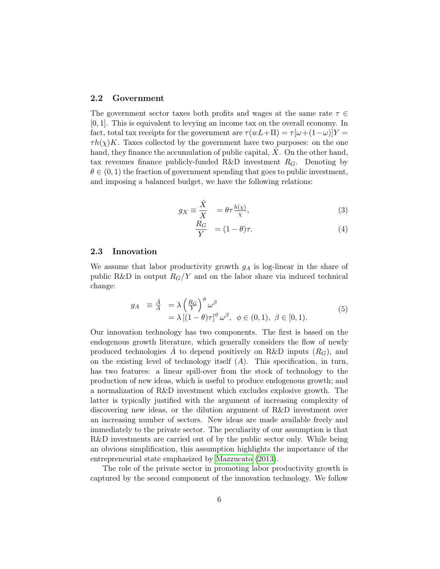#### 2.2 Government

The government sector taxes both profits and wages at the same rate  $\tau \in$ [0, 1]. This is equivalent to levying an income tax on the overall economy. In fact, total tax receipts for the government are  $\tau(wL+\Pi) = \tau[\omega+(1-\omega)]Y =$  $\tau h(\chi)K$ . Taxes collected by the government have two purposes: on the one hand, they finance the accumulation of public capital,  $\overline{X}$ . On the other hand, tax revenues finance publicly-funded R&D investment  $R_G$ . Denoting by  $\theta \in (0,1)$  the fraction of government spending that goes to public investment, and imposing a balanced budget, we have the following relations:

$$
g_X \equiv \frac{\dot{X}}{X} = \theta \tau \frac{h(\chi)}{\chi}, \tag{3}
$$

$$
\frac{R_G}{Y} = (1 - \theta)\tau.
$$
\n(4)

#### 2.3 Innovation

We assume that labor productivity growth  $g_A$  is log-linear in the share of public R&D in output  $R_G/Y$  and on the labor share via induced technical change:

<span id="page-6-0"></span>
$$
g_A \equiv \frac{\dot{A}}{A} = \lambda \left(\frac{R_G}{Y}\right)^{\phi} \omega^{\beta} = \lambda \left[ (1 - \theta)\tau \right]^{\phi} \omega^{\beta}, \ \phi \in (0, 1), \ \beta \in [0, 1).
$$
 (5)

Our innovation technology has two components. The first is based on the endogenous growth literature, which generally considers the flow of newly produced technologies  $\overline{A}$  to depend positively on R&D inputs  $(R_G)$ , and on the existing level of technology itself  $(A)$ . This specification, in turn, has two features: a linear spill-over from the stock of technology to the production of new ideas, which is useful to produce endogenous growth; and a normalization of R&D investment which excludes explosive growth. The latter is typically justified with the argument of increasing complexity of discovering new ideas, or the dilution argument of R&D investment over an increasing number of sectors. New ideas are made available freely and immediately to the private sector. The peculiarity of our assumption is that R&D investments are carried out of by the public sector only. While being an obvious simplification, this assumption highlights the importance of the entrepreneurial state emphasized by [Mazzucato](#page-19-5) [\(2013\)](#page-19-5).

The role of the private sector in promoting labor productivity growth is captured by the second component of the innovation technology. We follow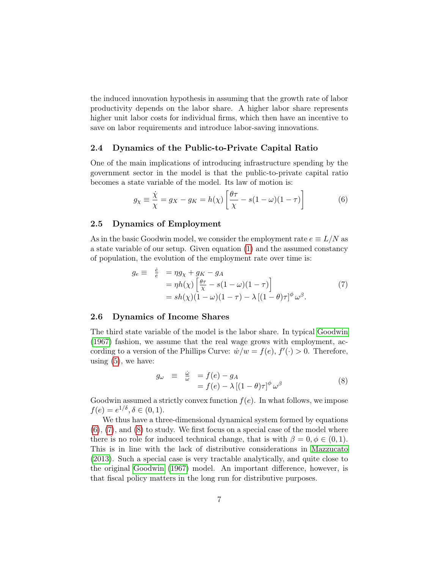the induced innovation hypothesis in assuming that the growth rate of labor productivity depends on the labor share. A higher labor share represents higher unit labor costs for individual firms, which then have an incentive to save on labor requirements and introduce labor-saving innovations.

#### 2.4 Dynamics of the Public-to-Private Capital Ratio

One of the main implications of introducing infrastructure spending by the government sector in the model is that the public-to-private capital ratio becomes a state variable of the model. Its law of motion is:

<span id="page-7-0"></span>
$$
g_{\chi} \equiv \frac{\dot{\chi}}{\chi} = g_X - g_K = h(\chi) \left[ \frac{\theta \tau}{\chi} - s(1 - \omega)(1 - \tau) \right] \tag{6}
$$

#### 2.5 Dynamics of Employment

As in the basic Goodwin model, we consider the employment rate  $e \equiv L/N$  as a state variable of our setup. Given equation [\(1\)](#page-5-1) and the assumed constancy of population, the evolution of the employment rate over time is:

<span id="page-7-1"></span>
$$
g_e \equiv \frac{\dot{e}}{e} = \eta g_\chi + g_K - g_A
$$
  
=  $\eta h(\chi) \left[ \frac{\theta \tau}{\chi} - s(1 - \omega)(1 - \tau) \right]$   
=  $sh(\chi)(1 - \omega)(1 - \tau) - \lambda [(1 - \theta)\tau]^{\phi} \omega^{\beta}.$  (7)

#### <span id="page-7-3"></span>2.6 Dynamics of Income Shares

The third state variable of the model is the labor share. In typical [Goodwin](#page-18-0) [\(1967\)](#page-18-0) fashion, we assume that the real wage grows with employment, according to a version of the Phillips Curve:  $\dot{w}/w = f(e), f'(\cdot) > 0$ . Therefore, using  $(5)$ , we have:

<span id="page-7-2"></span>
$$
g_{\omega} \equiv \frac{\dot{\omega}}{\omega} = f(e) - g_A
$$
  
=  $f(e) - \lambda [(1 - \theta)\tau]^{\phi} \omega^{\beta}$  (8)

Goodwin assumed a strictly convex function  $f(e)$ . In what follows, we impose  $f(e) = e^{1/\delta}, \delta \in (0, 1).$ 

We thus have a three-dimensional dynamical system formed by equations [\(6\)](#page-7-0), [\(7\)](#page-7-1), and [\(8\)](#page-7-2) to study. We first focus on a special case of the model where there is no role for induced technical change, that is with  $\beta = 0, \phi \in (0, 1)$ . This is in line with the lack of distributive considerations in [Mazzucato](#page-19-5) [\(2013\)](#page-19-5). Such a special case is very tractable analytically, and quite close to the original [Goodwin](#page-18-0) [\(1967\)](#page-18-0) model. An important difference, however, is that fiscal policy matters in the long run for distributive purposes.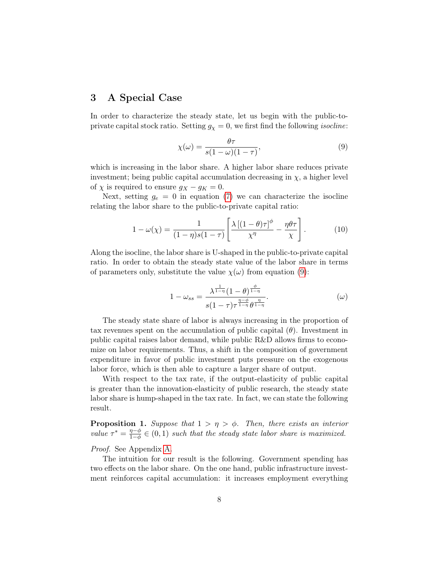## <span id="page-8-0"></span>3 A Special Case

In order to characterize the steady state, let us begin with the public-toprivate capital stock ratio. Setting  $g_{\chi} = 0$ , we first find the following *isocline*:

<span id="page-8-1"></span>
$$
\chi(\omega) = \frac{\theta \tau}{s(1 - \omega)(1 - \tau)},\tag{9}
$$

which is increasing in the labor share. A higher labor share reduces private investment; being public capital accumulation decreasing in  $\chi$ , a higher level of  $\chi$  is required to ensure  $g_X - g_K = 0$ .

Next, setting  $g_e = 0$  in equation [\(7\)](#page-7-1) we can characterize the isocline relating the labor share to the public-to-private capital ratio:

$$
1 - \omega(\chi) = \frac{1}{(1 - \eta)s(1 - \tau)} \left[ \frac{\lambda \left[ (1 - \theta)\tau \right]^{\phi}}{\chi^{\eta}} - \frac{\eta \theta \tau}{\chi} \right]. \tag{10}
$$

Along the isocline, the labor share is U-shaped in the public-to-private capital ratio. In order to obtain the steady state value of the labor share in terms of parameters only, substitute the value  $\chi(\omega)$  from equation [\(9\)](#page-8-1):

<span id="page-8-2"></span>
$$
1 - \omega_{ss} = \frac{\lambda^{\frac{1}{1-\eta}} (1-\theta)^{\frac{\phi}{1-\eta}}}{s(1-\tau)\tau^{\frac{\eta-\phi}{1-\eta}} \theta^{\frac{\eta}{1-\eta}}}.
$$
 (ω)

The steady state share of labor is always increasing in the proportion of tax revenues spent on the accumulation of public capital  $(\theta)$ . Investment in public capital raises labor demand, while public R&D allows firms to economize on labor requirements. Thus, a shift in the composition of government expenditure in favor of public investment puts pressure on the exogenous labor force, which is then able to capture a larger share of output.

With respect to the tax rate, if the output-elasticity of public capital is greater than the innovation-elasticity of public research, the steady state labor share is hump-shaped in the tax rate. In fact, we can state the following result.

<span id="page-8-3"></span>**Proposition 1.** Suppose that  $1 > \eta > \phi$ . Then, there exists an interior value  $\tau^* = \frac{\eta - \phi}{1 - \phi}$  $\frac{\eta-\phi}{1-\phi} \in (0,1)$  such that the steady state labor share is maximized.

#### Proof. See Appendix [A.](#page-14-0)

The intuition for our result is the following. Government spending has two effects on the labor share. On the one hand, public infrastructure investment reinforces capital accumulation: it increases employment everything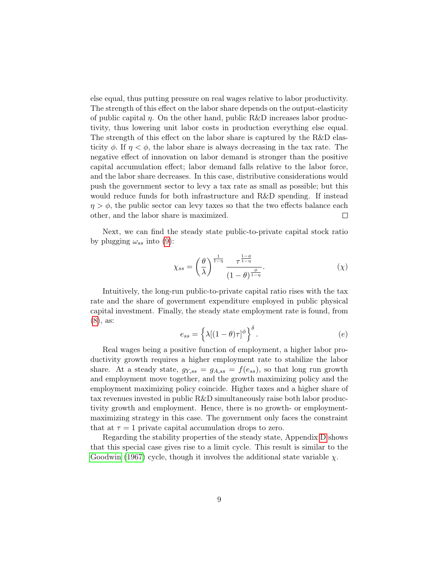else equal, thus putting pressure on real wages relative to labor productivity. The strength of this effect on the labor share depends on the output-elasticity of public capital  $\eta$ . On the other hand, public R&D increases labor productivity, thus lowering unit labor costs in production everything else equal. The strength of this effect on the labor share is captured by the R&D elasticity  $\phi$ . If  $\eta < \phi$ , the labor share is always decreasing in the tax rate. The negative effect of innovation on labor demand is stronger than the positive capital accumulation effect; labor demand falls relative to the labor force, and the labor share decreases. In this case, distributive considerations would push the government sector to levy a tax rate as small as possible; but this would reduce funds for both infrastructure and R&D spending. If instead  $\eta > \phi$ , the public sector can levy taxes so that the two effects balance each other, and the labor share is maximized.  $\Box$ 

Next, we can find the steady state public-to-private capital stock ratio by plugging  $\omega_{ss}$  into [\(9\)](#page-8-1):

$$
\chi_{ss} = \left(\frac{\theta}{\lambda}\right)^{\frac{1}{1-\eta}} \frac{\tau^{\frac{1-\phi}{1-\eta}}}{(1-\theta)^{\frac{\phi}{1-\eta}}}.\tag{1}
$$

Intuitively, the long-run public-to-private capital ratio rises with the tax rate and the share of government expenditure employed in public physical capital investment. Finally, the steady state employment rate is found, from [\(8\)](#page-7-2), as:

<span id="page-9-0"></span>
$$
e_{ss} = \left\{ \lambda \left[ (1 - \theta)\tau \right]^{\phi} \right\}^{\delta}.
$$
 (e)

Real wages being a positive function of employment, a higher labor productivity growth requires a higher employment rate to stabilize the labor share. At a steady state,  $g_{Y,ss} = g_{A,ss} = f(e_{ss})$ , so that long run growth and employment move together, and the growth maximizing policy and the employment maximizing policy coincide. Higher taxes and a higher share of tax revenues invested in public R&D simultaneously raise both labor productivity growth and employment. Hence, there is no growth- or employmentmaximizing strategy in this case. The government only faces the constraint that at  $\tau = 1$  private capital accumulation drops to zero.

Regarding the stability properties of the steady state, Appendix [D](#page-17-3) shows that this special case gives rise to a limit cycle. This result is similar to the [Goodwin](#page-18-0) [\(1967\)](#page-18-0) cycle, though it involves the additional state variable  $\chi$ .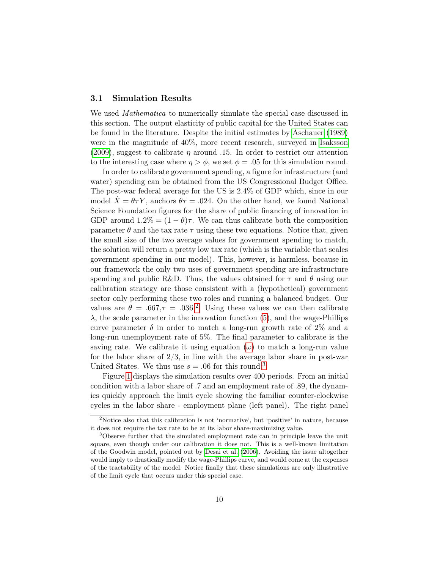#### <span id="page-10-2"></span>3.1 Simulation Results

We used *Mathematica* to numerically simulate the special case discussed in this section. The output elasticity of public capital for the United States can be found in the literature. Despite the initial estimates by [Aschauer](#page-17-1) [\(1989\)](#page-17-1) were in the magnitude of 40%, more recent research, surveyed in [Isaksson](#page-19-12) [\(2009\)](#page-19-12), suggest to calibrate  $\eta$  around .15. In order to restrict our attention to the interesting case where  $\eta > \phi$ , we set  $\phi = .05$  for this simulation round.

In order to calibrate government spending, a figure for infrastructure (and water) spending can be obtained from the US Congressional Budget Office. The post-war federal average for the US is 2.4% of GDP which, since in our model  $X = \theta \tau Y$ , anchors  $\theta \tau = 0.024$ . On the other hand, we found National Science Foundation figures for the share of public financing of innovation in GDP around  $1.2\% = (1 - \theta)\tau$ . We can thus calibrate both the composition parameter  $\theta$  and the tax rate  $\tau$  using these two equations. Notice that, given the small size of the two average values for government spending to match, the solution will return a pretty low tax rate (which is the variable that scales government spending in our model). This, however, is harmless, because in our framework the only two uses of government spending are infrastructure spending and public R&D. Thus, the values obtained for  $\tau$  and  $\theta$  using our calibration strategy are those consistent with a (hypothetical) government sector only performing these two roles and running a balanced budget. Our values are  $\theta = .667$ ,  $\tau = .036$ .<sup>[2](#page-10-0)</sup> Using these values we can then calibrate  $\lambda$ , the scale parameter in the innovation function [\(5\)](#page-6-0), and the wage-Phillips curve parameter  $\delta$  in order to match a long-run growth rate of 2\% and a long-run unemployment rate of 5%. The final parameter to calibrate is the saving rate. We calibrate it using equation  $(\omega)$  to match a long-run value for the labor share of  $2/3$ , in line with the average labor share in post-war United States. We thus use  $s = .06$  for this round.<sup>[3](#page-10-1)</sup>

Figure [1](#page-11-1) displays the simulation results over 400 periods. From an initial condition with a labor share of .7 and an employment rate of .89, the dynamics quickly approach the limit cycle showing the familiar counter-clockwise cycles in the labor share - employment plane (left panel). The right panel

<span id="page-10-0"></span><sup>2</sup>Notice also that this calibration is not 'normative', but 'positive' in nature, because it does not require the tax rate to be at its labor share-maximizing value.

<span id="page-10-1"></span><sup>3</sup>Observe further that the simulated employment rate can in principle leave the unit square, even though under our calibration it does not. This is a well-known limitation of the Goodwin model, pointed out by [Desai et al.](#page-18-10) [\(2006\)](#page-18-10). Avoiding the issue altogether would imply to drastically modify the wage-Phillips curve, and would come at the expenses of the tractability of the model. Notice finally that these simulations are only illustrative of the limit cycle that occurs under this special case.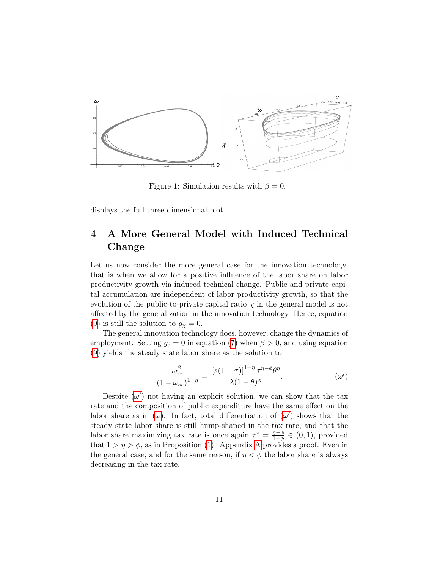

<span id="page-11-1"></span>Figure 1: Simulation results with  $\beta = 0$ .

displays the full three dimensional plot.

## <span id="page-11-0"></span>4 A More General Model with Induced Technical Change

Let us now consider the more general case for the innovation technology, that is when we allow for a positive influence of the labor share on labor productivity growth via induced technical change. Public and private capital accumulation are independent of labor productivity growth, so that the evolution of the public-to-private capital ratio  $\chi$  in the general model is not affected by the generalization in the innovation technology. Hence, equation [\(9\)](#page-8-1) is still the solution to  $g_{\chi}=0$ .

The general innovation technology does, however, change the dynamics of employment. Setting  $g_e = 0$  in equation [\(7\)](#page-7-1) when  $\beta > 0$ , and using equation [\(9\)](#page-8-1) yields the steady state labor share as the solution to

<span id="page-11-2"></span>
$$
\frac{\omega_{ss}^{\beta}}{\left(1-\omega_{ss}\right)^{1-\eta}} = \frac{\left[s(1-\tau)\right]^{1-\eta}\tau^{\eta-\phi}\theta^{\eta}}{\lambda(1-\theta)^{\phi}}.
$$
\n
$$
\tag{\omega'}
$$

Despite  $(\omega')$  not having an explicit solution, we can show that the tax rate and the composition of public expenditure have the same effect on the labor share as in  $(\omega)$ . In fact, total differentiation of  $(\omega')$  shows that the steady state labor share is still hump-shaped in the tax rate, and that the labor share maximizing tax rate is once again  $\tau^* = \frac{\eta - \phi}{1 - \phi}$  $\frac{\eta-\varphi}{1-\phi} \in (0,1)$ , provided that  $1 > \eta > \phi$ , as in Proposition [\(1\)](#page-8-3). [A](#page-14-0)ppendix A provides a proof. Even in the general case, and for the same reason, if  $\eta < \phi$  the labor share is always decreasing in the tax rate.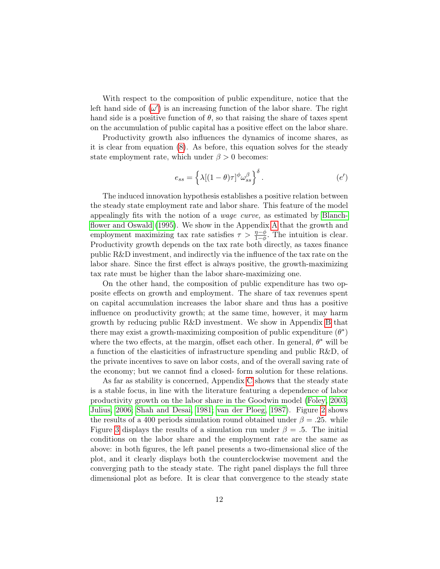With respect to the composition of public expenditure, notice that the left hand side of  $(\omega')$  is an increasing function of the labor share. The right hand side is a positive function of  $\theta$ , so that raising the share of taxes spent on the accumulation of public capital has a positive effect on the labor share.

Productivity growth also influences the dynamics of income shares, as it is clear from equation [\(8\)](#page-7-2). As before, this equation solves for the steady state employment rate, which under  $\beta > 0$  becomes:

<span id="page-12-0"></span>
$$
e_{ss} = \left\{ \lambda [(1 - \theta)\tau]^{\phi} \omega_{ss}^{\beta} \right\}^{\delta}.
$$
 (e')

The induced innovation hypothesis establishes a positive relation between the steady state employment rate and labor share. This feature of the model appealingly fits with the notion of a wage curve, as estimated by [Blanch](#page-18-11)[flower and Oswald](#page-18-11) [\(1995\)](#page-18-11). We show in the Appendix [A](#page-14-0) that the growth and employment maximizing tax rate satisfies  $\tau > \frac{\eta - \phi}{1 - \phi}$ . The intuition is clear. Productivity growth depends on the tax rate both directly, as taxes finance public R&D investment, and indirectly via the influence of the tax rate on the labor share. Since the first effect is always positive, the growth-maximizing tax rate must be higher than the labor share-maximizing one.

On the other hand, the composition of public expenditure has two opposite effects on growth and employment. The share of tax revenues spent on capital accumulation increases the labor share and thus has a positive influence on productivity growth; at the same time, however, it may harm growth by reducing public R&D investment. We show in Appendix [B](#page-15-0) that there may exist a growth-maximizing composition of public expenditure  $(\theta^*)$ where the two effects, at the margin, offset each other. In general,  $\theta^*$  will be a function of the elasticities of infrastructure spending and public R&D, of the private incentives to save on labor costs, and of the overall saving rate of the economy; but we cannot find a closed- form solution for these relations.

As far as stability is concerned, Appendix [C](#page-16-0) shows that the steady state is a stable focus, in line with the literature featuring a dependence of labor productivity growth on the labor share in the Goodwin model [\(Foley, 2003;](#page-18-1) [Julius, 2006;](#page-19-2) [Shah and Desai, 1981;](#page-19-1) [van der Ploeg, 1987\)](#page-20-0). Figure [2](#page-13-1) shows the results of a 400 periods simulation round obtained under  $\beta = .25$ . while Figure [3](#page-13-2) displays the results of a simulation run under  $\beta = 0.5$ . The initial conditions on the labor share and the employment rate are the same as above: in both figures, the left panel presents a two-dimensional slice of the plot, and it clearly displays both the counterclockwise movement and the converging path to the steady state. The right panel displays the full three dimensional plot as before. It is clear that convergence to the steady state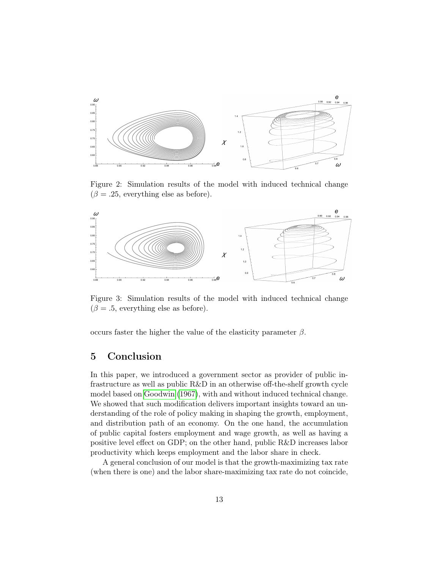

<span id="page-13-1"></span>Figure 2: Simulation results of the model with induced technical change  $(\beta = .25,$  everything else as before).



<span id="page-13-2"></span>Figure 3: Simulation results of the model with induced technical change  $(\beta = .5,$  everything else as before).

occurs faster the higher the value of the elasticity parameter  $\beta$ .

## <span id="page-13-0"></span>5 Conclusion

In this paper, we introduced a government sector as provider of public infrastructure as well as public R&D in an otherwise off-the-shelf growth cycle model based on [Goodwin](#page-18-0) [\(1967\)](#page-18-0), with and without induced technical change. We showed that such modification delivers important insights toward an understanding of the role of policy making in shaping the growth, employment, and distribution path of an economy. On the one hand, the accumulation of public capital fosters employment and wage growth, as well as having a positive level effect on GDP; on the other hand, public R&D increases labor productivity which keeps employment and the labor share in check.

A general conclusion of our model is that the growth-maximizing tax rate (when there is one) and the labor share-maximizing tax rate do not coincide,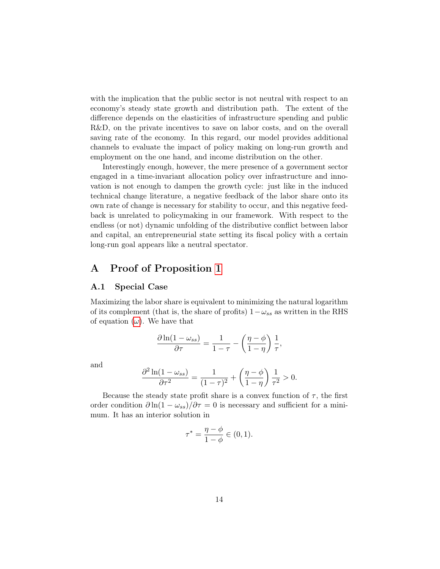with the implication that the public sector is not neutral with respect to an economy's steady state growth and distribution path. The extent of the difference depends on the elasticities of infrastructure spending and public R&D, on the private incentives to save on labor costs, and on the overall saving rate of the economy. In this regard, our model provides additional channels to evaluate the impact of policy making on long-run growth and employment on the one hand, and income distribution on the other.

Interestingly enough, however, the mere presence of a government sector engaged in a time-invariant allocation policy over infrastructure and innovation is not enough to dampen the growth cycle: just like in the induced technical change literature, a negative feedback of the labor share onto its own rate of change is necessary for stability to occur, and this negative feedback is unrelated to policymaking in our framework. With respect to the endless (or not) dynamic unfolding of the distributive conflict between labor and capital, an entrepreneurial state setting its fiscal policy with a certain long-run goal appears like a neutral spectator.

## <span id="page-14-0"></span>A Proof of Proposition [1](#page-8-3)

#### A.1 Special Case

Maximizing the labor share is equivalent to minimizing the natural logarithm of its complement (that is, the share of profits)  $1-\omega_{ss}$  as written in the RHS of equation  $(\omega)$ . We have that

$$
\frac{\partial \ln(1-\omega_{ss})}{\partial \tau} = \frac{1}{1-\tau} - \left(\frac{\eta-\phi}{1-\eta}\right)\frac{1}{\tau},
$$

and

$$
\frac{\partial^2 \ln(1-\omega_{ss})}{\partial \tau^2} = \frac{1}{(1-\tau)^2} + \left(\frac{\eta-\phi}{1-\eta}\right) \frac{1}{\tau^2} > 0.
$$

Because the steady state profit share is a convex function of  $\tau$ , the first order condition  $\partial \ln(1 - \omega_{ss})/\partial \tau = 0$  is necessary and sufficient for a minimum. It has an interior solution in

$$
\tau^* = \frac{\eta - \phi}{1 - \phi} \in (0, 1).
$$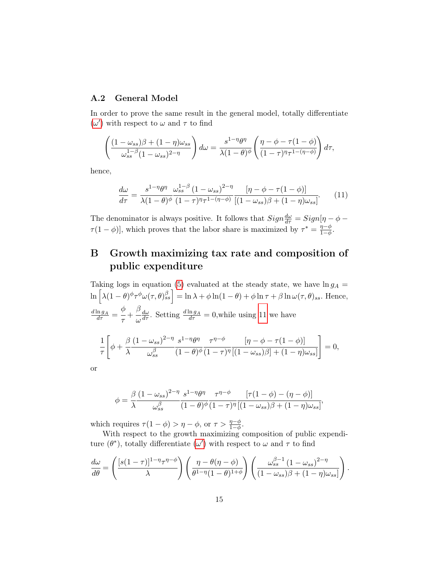### A.2 General Model

In order to prove the same result in the general model, totally differentiate ( $ω'$  $ω'$ ) with respect to  $ω$  and  $τ$  to find

$$
\left(\frac{(1-\omega_{ss})\beta+(1-\eta)\omega_{ss}}{\omega_{ss}^{1-\beta}(1-\omega_{ss})^{2-\eta}}\right)d\omega = \frac{s^{1-\eta}\theta^{\eta}}{\lambda(1-\theta)^{\phi}}\left(\frac{\eta-\phi-\tau(1-\phi)}{(1-\tau)^{\eta}\tau^{1-(\eta-\phi)}}\right)d\tau,
$$

hence,

<span id="page-15-1"></span>
$$
\frac{d\omega}{d\tau} = \frac{s^{1-\eta}\theta^{\eta}}{\lambda(1-\theta)^{\phi}} \frac{\omega_{ss}^{1-\beta} (1-\omega_{ss})^{2-\eta}}{(1-\tau)^{\eta}\tau^{1-(\eta-\phi)}} \frac{[\eta-\phi-\tau(1-\phi)]}{[(1-\omega_{ss})\beta+(1-\eta)\omega_{ss}]}.
$$
(11)

The denominator is always positive. It follows that  $Sign\frac{d\omega}{d\tau} = Sign[\eta - \phi - \frac{1}{2}]$  $\tau(1-\phi)$ , which proves that the labor share is maximized by  $\tau^* = \frac{\eta-\phi}{1-\phi}$  $\frac{\eta-\phi}{1-\phi}$ .

## <span id="page-15-0"></span>B Growth maximizing tax rate and composition of public expenditure

Taking logs in equation [\(5\)](#page-6-0) evaluated at the steady state, we have  $\ln g_A =$  $\ln \left[ \lambda (1-\theta)^{\phi} \tau^{\phi} \omega(\tau,\theta)_{ss}^{\beta} \right] = \ln \lambda + \phi \ln (1-\theta) + \phi \ln \tau + \beta \ln \omega(\tau,\theta)_{ss}$ . Hence,  $\frac{d\ln g_A}{d\tau}=$ φ  $rac{\tau}{\tau}$ β ω  $\frac{d\omega}{d\tau}$ . Setting  $\frac{d\ln g_A}{d\tau} = 0$ , while using [11](#page-15-1) we have 1 τ  $\sqrt{ }$  $\phi +$ β λ  $(1 - \omega_{ss})^{2 - \eta}$  $\omega_{ss}^{\beta}$  $s^{1-\eta}\theta^{\eta}$  $(1-\theta)^\phi$  $\tau^{\eta-\phi}$  $(1-\tau)^\eta$  $[\eta - \phi - \tau(1 - \phi)]$  $[(1-\omega_{ss})\beta] + (1-\eta)\omega_{ss}]$ 1  $= 0,$ or

$$
\phi = \frac{\beta (1 - \omega_{ss})^{2-\eta} s^{1-\eta} \theta^{\eta}}{\omega_{ss}^{\beta}} \frac{\tau^{\eta-\phi}}{(1-\theta)^{\phi}} \frac{[\tau(1-\phi) - (\eta-\phi)]}{[(1-\omega_{ss})\beta + (1-\eta)\omega_{ss}]},
$$

which requires  $\tau(1-\phi) > \eta - \phi$ , or  $\tau > \frac{\eta - \phi}{1-\phi}$ .

With respect to the growth maximizing composition of public expenditure  $(\theta^*)$ , totally differentiate  $(\omega')$  with respect to  $\omega$  and  $\tau$  to find

$$
\frac{d\omega}{d\theta} = \left(\frac{[s(1-\tau)]^{1-\eta}\tau^{\eta-\phi}}{\lambda}\right)\left(\frac{\eta-\theta(\eta-\phi)}{\theta^{1-\eta}(1-\theta)^{1+\phi}}\right)\left(\frac{\omega_{ss}^{\beta-1}(1-\omega_{ss})^{2-\eta}}{(1-\omega_{ss})\beta+(1-\eta)\omega_{ss}!}\right).
$$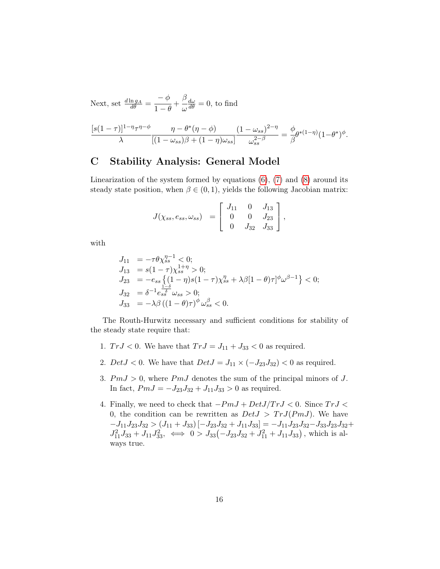Next, set  $\frac{d \ln g_A}{d \theta}$  =  $-\phi$  $\frac{1}{1-\theta}$  + β ω  $\frac{d\omega}{d\theta} = 0$ , to find

$$
\frac{[s(1-\tau)]^{1-\eta}\tau^{\eta-\phi}}{\lambda}\frac{\eta-\theta^*(\eta-\phi)}{[(1-\omega_{ss})\beta+(1-\eta)\omega_{ss}]} \frac{(1-\omega_{ss})^{2-\eta}}{\omega_{ss}^{2-\beta}}=\frac{\phi}{\beta}\theta^{*(1-\eta)}(1-\theta^*)^{\phi}.
$$

## <span id="page-16-0"></span>C Stability Analysis: General Model

Linearization of the system formed by equations  $(6)$ ,  $(7)$  and  $(8)$  around its steady state position, when  $\beta \in (0, 1)$ , yields the following Jacobian matrix:

$$
J(\chi_{ss}, e_{ss}, \omega_{ss}) = \begin{bmatrix} J_{11} & 0 & J_{13} \\ 0 & 0 & J_{23} \\ 0 & J_{32} & J_{33} \end{bmatrix},
$$

with

$$
J_{11} = -\tau \theta \chi_{ss}^{\eta-1} < 0;
$$
\n
$$
J_{13} = s(1-\tau)\chi_{ss}^{1+\eta} > 0;
$$
\n
$$
J_{23} = -e_{ss} \left\{ (1-\eta)s(1-\tau)\chi_{ss}^{\eta} + \lambda\beta[1-\theta)\tau]^{\phi}\omega^{\beta-1} \right\} < 0;
$$
\n
$$
J_{32} = \delta^{-1} e_{ss}^{\frac{1-\delta}{\delta}} \omega_{ss} > 0;
$$
\n
$$
J_{33} = -\lambda\beta \left( (1-\theta)\tau \right)^{\phi} \omega_{ss}^{\beta} < 0.
$$

The Routh-Hurwitz necessary and sufficient conditions for stability of the steady state require that:

- 1.  $TrJ < 0$ . We have that  $TrJ = J_{11} + J_{33} < 0$  as required.
- 2.  $DetJ < 0$ . We have that  $DetJ = J_{11} \times (-J_{23}J_{32}) < 0$  as required.
- 3.  $PmJ > 0$ , where  $PmJ$  denotes the sum of the principal minors of J. In fact,  $PmJ = -J_{23}J_{32} + J_{11}J_{33} > 0$  as required.
- 4. Finally, we need to check that  $-PmJ + DetJ/TrJ < 0$ . Since  $TrJ <$ 0, the condition can be rewritten as  $DetJ > TrJ(PmJ)$ . We have  $-J_{11}J_{23}J_{32} > (J_{11}+J_{33})[-J_{23}J_{32}+J_{11}J_{33}] = -J_{11}J_{23}J_{32}-J_{33}J_{23}J_{32}+$  $J_{11}^2 J_{33} + J_{11} J_{33}^2$ ,  $\iff 0 > J_{33}(-J_{23}J_{32} + J_{11}^2 + J_{11}J_{33})$ , which is always true.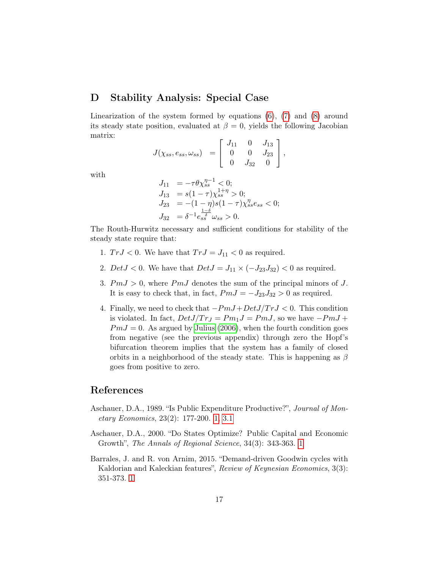## <span id="page-17-3"></span>D Stability Analysis: Special Case

Linearization of the system formed by equations  $(6)$ ,  $(7)$  and  $(8)$  around its steady state position, evaluated at  $\beta = 0$ , yields the following Jacobian matrix:

$$
J(\chi_{ss}, e_{ss}, \omega_{ss}) = \begin{bmatrix} J_{11} & 0 & J_{13} \\ 0 & 0 & J_{23} \\ 0 & J_{32} & 0 \end{bmatrix},
$$

with

$$
J_{11} = -\tau \theta \chi_{ss}^{\eta - 1} < 0;
$$
\n
$$
J_{13} = s(1 - \tau) \chi_{ss}^{1 + \eta} > 0;
$$
\n
$$
J_{23} = -(1 - \eta)s(1 - \tau) \chi_{ss}^{\eta} e_{ss} < 0;
$$
\n
$$
J_{32} = \delta^{-1} e_{ss}^{\frac{1 - \delta}{\delta}} \omega_{ss} > 0.
$$

The Routh-Hurwitz necessary and sufficient conditions for stability of the steady state require that:

- 1.  $TrJ < 0$ . We have that  $TrJ = J_{11} < 0$  as required.
- 2.  $DetJ < 0$ . We have that  $DetJ = J_{11} \times (-J_{23}J_{32}) < 0$  as required.
- 3.  $PmJ > 0$ , where  $PmJ$  denotes the sum of the principal minors of J. It is easy to check that, in fact,  $PmJ = -J_{23}J_{32} > 0$  as required.
- <span id="page-17-4"></span>4. Finally, we need to check that  $-PmJ+DetJ/TrJ < 0$ . This condition is violated. In fact,  $DetJ/Tr_J = Pm_1J = PmJ$ , so we have  $-PmJ +$  $PmJ = 0$ . As argued by [Julius](#page-19-2) [\(2006\)](#page-19-2), when the fourth condition goes from negative (see the previous appendix) through zero the Hopf's bifurcation theorem implies that the system has a family of closed orbits in a neighborhood of the steady state. This is happening as  $\beta$ goes from positive to zero.

## References

- <span id="page-17-1"></span>Aschauer, D.A., 1989. "Is Public Expenditure Productive?", Journal of Monetary Economics, 23(2): 177-200. [1,](#page-2-0) [3.1](#page-10-2)
- <span id="page-17-2"></span>Aschauer, D.A., 2000. "Do States Optimize? Public Capital and Economic Growth", The Annals of Regional Science, 34(3): 343-363. [1](#page-2-0)
- <span id="page-17-0"></span>Barrales, J. and R. von Arnim, 2015. "Demand-driven Goodwin cycles with Kaldorian and Kaleckian features", Review of Keynesian Economics, 3(3): 351-373. [1](#page-2-0)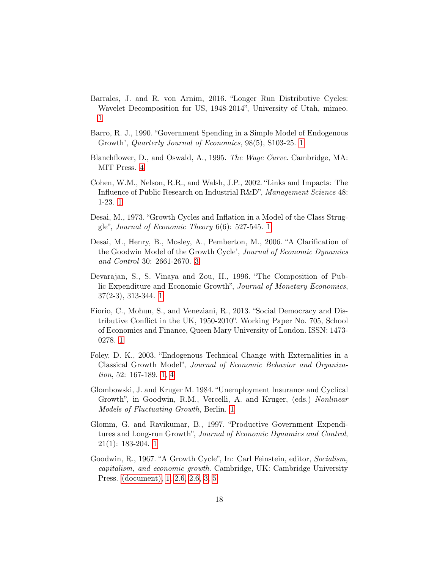- <span id="page-18-5"></span>Barrales, J. and R. von Arnim, 2016. "Longer Run Distributive Cycles: Wavelet Decomposition for US, 1948-2014", University of Utah, mimeo. [1](#page-2-0)
- <span id="page-18-6"></span>Barro, R. J., 1990. "Government Spending in a Simple Model of Endogenous Growth', Quarterly Journal of Economics, 98(5), S103-25. [1](#page-2-0)
- <span id="page-18-11"></span>Blanchflower, D., and Oswald, A., 1995. The Wage Curve. Cambridge, MA: MIT Press. [4](#page-12-0)
- <span id="page-18-9"></span>Cohen, W.M., Nelson, R.R., and Walsh, J.P., 2002. "Links and Impacts: The Influence of Public Research on Industrial R&D", Management Science 48: 1-23. [1](#page-2-0)
- <span id="page-18-2"></span>Desai, M., 1973. "Growth Cycles and Inflation in a Model of the Class Struggle", Journal of Economic Theory 6(6): 527-545. [1](#page-2-0)
- <span id="page-18-10"></span>Desai, M., Henry, B., Mosley, A., Pemberton, M., 2006. "A Clarification of the Goodwin Model of the Growth Cycle', Journal of Economic Dynamics and Control 30: 2661-2670. [3](#page-10-1)
- <span id="page-18-7"></span>Devarajan, S., S. Vinaya and Zou, H., 1996. "The Composition of Public Expenditure and Economic Growth", Journal of Monetary Economics, 37(2-3), 313-344. [1](#page-2-0)
- <span id="page-18-4"></span>Fiorio, C., Mohun, S., and Veneziani, R., 2013. "Social Democracy and Distributive Conflict in the UK, 1950-2010". Working Paper No. 705, School of Economics and Finance, Queen Mary University of London. ISSN: 1473- 0278. [1](#page-2-0)
- <span id="page-18-1"></span>Foley, D. K., 2003. "Endogenous Technical Change with Externalities in a Classical Growth Model", Journal of Economic Behavior and Organization, 52: 167-189. [1,](#page-2-0) [4](#page-12-0)
- <span id="page-18-3"></span>Glombowski, J. and Kruger M. 1984. "Unemployment Insurance and Cyclical Growth", in Goodwin, R.M., Vercelli, A. and Kruger, (eds.) Nonlinear Models of Fluctuating Growth, Berlin. [1](#page-2-0)
- <span id="page-18-8"></span>Glomm, G. and Ravikumar, B., 1997. "Productive Government Expenditures and Long-run Growth", Journal of Economic Dynamics and Control, 21(1): 183-204. [1](#page-2-0)
- <span id="page-18-0"></span>Goodwin, R., 1967. "A Growth Cycle", In: Carl Feinstein, editor, Socialism, capitalism, and economic growth. Cambridge, UK: Cambridge University Press. [\(document\),](#page-1-0) [1,](#page-2-0) [2.6,](#page-7-3) [2.6,](#page-7-2) [3,](#page-9-0) [5](#page-13-0)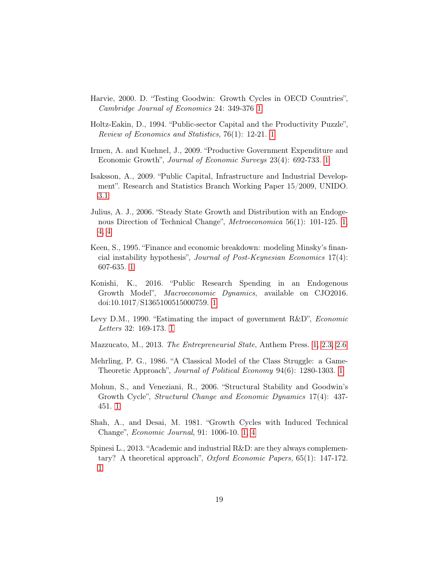- <span id="page-19-6"></span>Harvie, 2000. D. "Testing Goodwin: Growth Cycles in OECD Countries", Cambridge Journal of Economics 24: 349-376 [1](#page-2-0)
- <span id="page-19-7"></span>Holtz-Eakin, D., 1994. "Public-sector Capital and the Productivity Puzzle", Review of Economics and Statistics, 76(1): 12-21. [1](#page-2-0)
- <span id="page-19-8"></span>Irmen, A. and Kuehnel, J., 2009. "Productive Government Expenditure and Economic Growth", Journal of Economic Surveys 23(4): 692-733. [1](#page-2-0)
- <span id="page-19-12"></span>Isaksson, A., 2009. "Public Capital, Infrastructure and Industrial Development". Research and Statistics Branch Working Paper 15/2009, UNIDO. [3.1](#page-10-2)
- <span id="page-19-2"></span>Julius, A. J., 2006. "Steady State Growth and Distribution with an Endogenous Direction of Technical Change", *Metroeconomica* 56(1): 101-125. [1,](#page-2-0) [4,](#page-12-0) [4](#page-17-4)
- <span id="page-19-3"></span>Keen, S., 1995. "Finance and economic breakdown: modeling Minsky's financial instability hypothesis", Journal of Post-Keynesian Economics 17(4): 607-635. [1](#page-2-0)
- <span id="page-19-10"></span>Konishi, K., 2016. "Public Research Spending in an Endogenous Growth Model", Macroeconomic Dynamics, available on CJO2016. doi:10.1017/S1365100515000759. [1](#page-2-0)
- <span id="page-19-9"></span>Levy D.M., 1990. "Estimating the impact of government R&D", Economic Letters 32: 169-173. [1](#page-2-0)
- <span id="page-19-5"></span>Mazzucato, M., 2013. The Entrepreneurial State, Anthem Press. [1,](#page-2-0) [2.3,](#page-6-0) [2.6](#page-7-2)
- <span id="page-19-4"></span>Mehrling, P. G., 1986. "A Classical Model of the Class Struggle: a Game-Theoretic Approach", Journal of Political Economy 94(6): 1280-1303. [1](#page-2-0)
- <span id="page-19-0"></span>Mohun, S., and Veneziani, R., 2006. "Structural Stability and Goodwin's Growth Cycle", Structural Change and Economic Dynamics 17(4): 437- 451. [1](#page-2-0)
- <span id="page-19-1"></span>Shah, A., and Desai, M. 1981. "Growth Cycles with Induced Technical Change", Economic Journal, 91: 1006-10. [1,](#page-2-0) [4](#page-12-0)
- <span id="page-19-11"></span>Spinesi L., 2013. "Academic and industrial R&D: are they always complementary? A theoretical approach", Oxford Economic Papers, 65(1): 147-172. [1](#page-2-0)